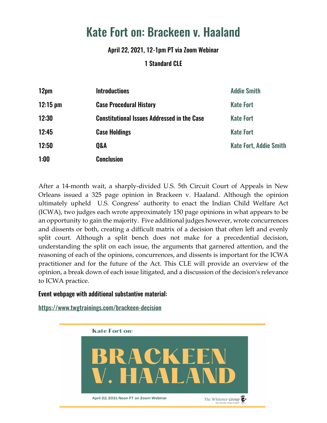## Kate Fort on: Brackeen v. Haaland

April 22, 2021, 12-1pm PT via Zoom Webinar

## 1 Standard CLE

| 12pm               | <b>Introductions</b>                               | <b>Addie Smith</b>            |
|--------------------|----------------------------------------------------|-------------------------------|
| $12:15 \text{ pm}$ | <b>Case Procedural History</b>                     | <b>Kate Fort</b>              |
| 12:30              | <b>Constitutional Issues Addressed in the Case</b> | <b>Kate Fort</b>              |
| 12:45              | <b>Case Holdings</b>                               | <b>Kate Fort</b>              |
| 12:50              | <b>Q&amp;A</b>                                     | <b>Kate Fort, Addie Smith</b> |
| 1:00               | <b>Conclusion</b>                                  |                               |

After a 14-month wait, a sharply-divided U.S. 5th Circuit Court of Appeals in New Orleans issued a 325 page opinion in Brackeen v. Haaland. Although the opinion ultimately upheld U.S. Congress' authority to enact the Indian Child Welfare Act (ICWA), two judges each wrote approximately 150 page opinions in what appears to be an opportunity to gain the majority. Five additional judges however, wrote concurrences and dissents or both, creating a difficult matrix of a decision that often left and evenly split court. Although a split bench does not make for a precedential decision, understanding the split on each issue, the arguments that garnered attention, and the reasoning of each of the opinions, concurrences, and dissents is important for the ICWA practitioner and for the future of the Act. This CLE will provide an overview of the opinion, a break down of each issue litigated, and a discussion of the decision's relevance to ICWA practice.

## Event webpage with additional substantive material:

<https://www.twgtrainings.com/brackeen-decision>